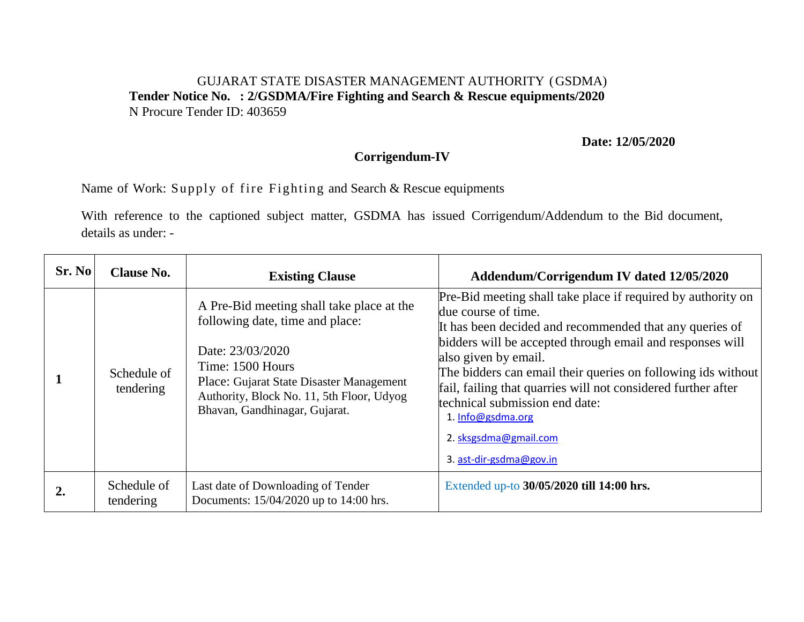## GUJARAT STATE DISASTER MANAGEMENT AUTHORITY (GSDMA) **Tender Notice No. : 2/GSDMA/Fire Fighting and Search & Rescue equipments/2020**  N Procure Tender ID: 403659

## **Date: 12/05/2020**

## **Corrigendum-IV**

Name of Work: Supply of fire Fighting and Search & Rescue equipments

With reference to the captioned subject matter, GSDMA has issued Corrigendum/Addendum to the Bid document, details as under: -

| Sr. No | <b>Clause No.</b>        | <b>Existing Clause</b>                                                                                                                                                                                                                         | Addendum/Corrigendum IV dated 12/05/2020                                                                                                                                                                                                                                                                                                                                                                                                                                        |
|--------|--------------------------|------------------------------------------------------------------------------------------------------------------------------------------------------------------------------------------------------------------------------------------------|---------------------------------------------------------------------------------------------------------------------------------------------------------------------------------------------------------------------------------------------------------------------------------------------------------------------------------------------------------------------------------------------------------------------------------------------------------------------------------|
|        | Schedule of<br>tendering | A Pre-Bid meeting shall take place at the<br>following date, time and place:<br>Date: 23/03/2020<br>Time: 1500 Hours<br>Place: Gujarat State Disaster Management<br>Authority, Block No. 11, 5th Floor, Udyog<br>Bhavan, Gandhinagar, Gujarat. | Pre-Bid meeting shall take place if required by authority on<br>due course of time.<br>It has been decided and recommended that any queries of<br>bidders will be accepted through email and responses will<br>also given by email.<br>The bidders can email their queries on following ids without<br>fail, failing that quarries will not considered further after<br>technical submission end date:<br>1. Info@gsdma.org<br>2. sksgsdma@gmail.com<br>3. ast-dir-gsdma@gov.in |
|        | Schedule of<br>tendering | Last date of Downloading of Tender<br>Documents: 15/04/2020 up to 14:00 hrs.                                                                                                                                                                   | Extended up-to 30/05/2020 till 14:00 hrs.                                                                                                                                                                                                                                                                                                                                                                                                                                       |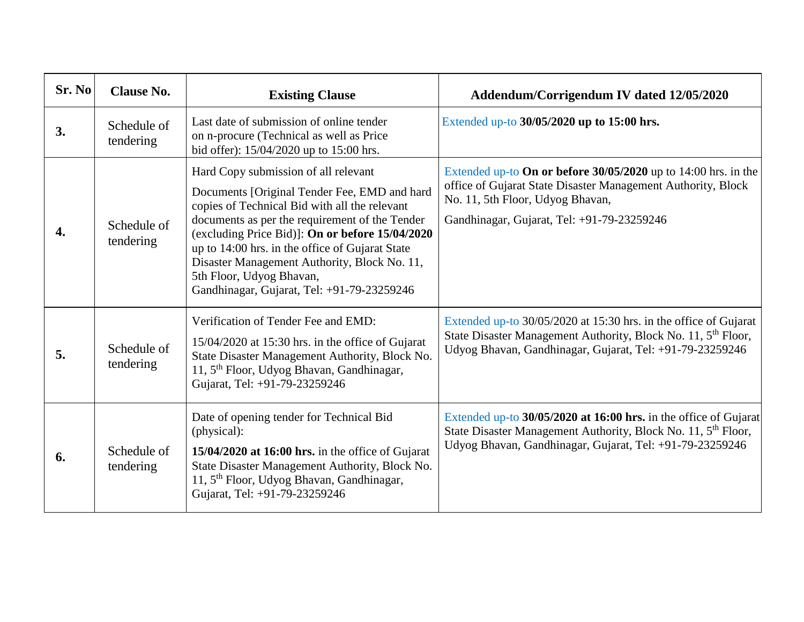| Sr. No | <b>Clause No.</b>        | <b>Existing Clause</b>                                                                                                                                                                                                                                                                                                                                                                                                  | Addendum/Corrigendum IV dated 12/05/2020                                                                                                                                                                           |
|--------|--------------------------|-------------------------------------------------------------------------------------------------------------------------------------------------------------------------------------------------------------------------------------------------------------------------------------------------------------------------------------------------------------------------------------------------------------------------|--------------------------------------------------------------------------------------------------------------------------------------------------------------------------------------------------------------------|
| 3.     | Schedule of<br>tendering | Last date of submission of online tender<br>on n-procure (Technical as well as Price<br>bid offer): 15/04/2020 up to 15:00 hrs.                                                                                                                                                                                                                                                                                         | Extended up-to 30/05/2020 up to 15:00 hrs.                                                                                                                                                                         |
| 4.     | Schedule of<br>tendering | Hard Copy submission of all relevant<br>Documents [Original Tender Fee, EMD and hard<br>copies of Technical Bid with all the relevant<br>documents as per the requirement of the Tender<br>(excluding Price Bid)]: On or before 15/04/2020<br>up to 14:00 hrs. in the office of Gujarat State<br>Disaster Management Authority, Block No. 11,<br>5th Floor, Udyog Bhavan,<br>Gandhinagar, Gujarat, Tel: +91-79-23259246 | Extended up-to On or before $30/05/2020$ up to 14:00 hrs. in the<br>office of Gujarat State Disaster Management Authority, Block<br>No. 11, 5th Floor, Udyog Bhavan,<br>Gandhinagar, Gujarat, Tel: +91-79-23259246 |
| 5.     | Schedule of<br>tendering | Verification of Tender Fee and EMD:<br>$15/04/2020$ at 15:30 hrs. in the office of Gujarat<br>State Disaster Management Authority, Block No.<br>11, 5 <sup>th</sup> Floor, Udyog Bhavan, Gandhinagar,<br>Gujarat, Tel: +91-79-23259246                                                                                                                                                                                  | Extended up-to 30/05/2020 at 15:30 hrs. in the office of Gujarat<br>State Disaster Management Authority, Block No. 11, 5 <sup>th</sup> Floor,<br>Udyog Bhavan, Gandhinagar, Gujarat, Tel: +91-79-23259246          |
| 6.     | Schedule of<br>tendering | Date of opening tender for Technical Bid<br>(physical):<br>$15/04/2020$ at 16:00 hrs. in the office of Gujarat<br>State Disaster Management Authority, Block No.<br>11, 5 <sup>th</sup> Floor, Udyog Bhavan, Gandhinagar,<br>Gujarat, Tel: +91-79-23259246                                                                                                                                                              | Extended up-to 30/05/2020 at 16:00 hrs. in the office of Gujarat<br>State Disaster Management Authority, Block No. 11, 5 <sup>th</sup> Floor,<br>Udyog Bhavan, Gandhinagar, Gujarat, Tel: +91-79-23259246          |